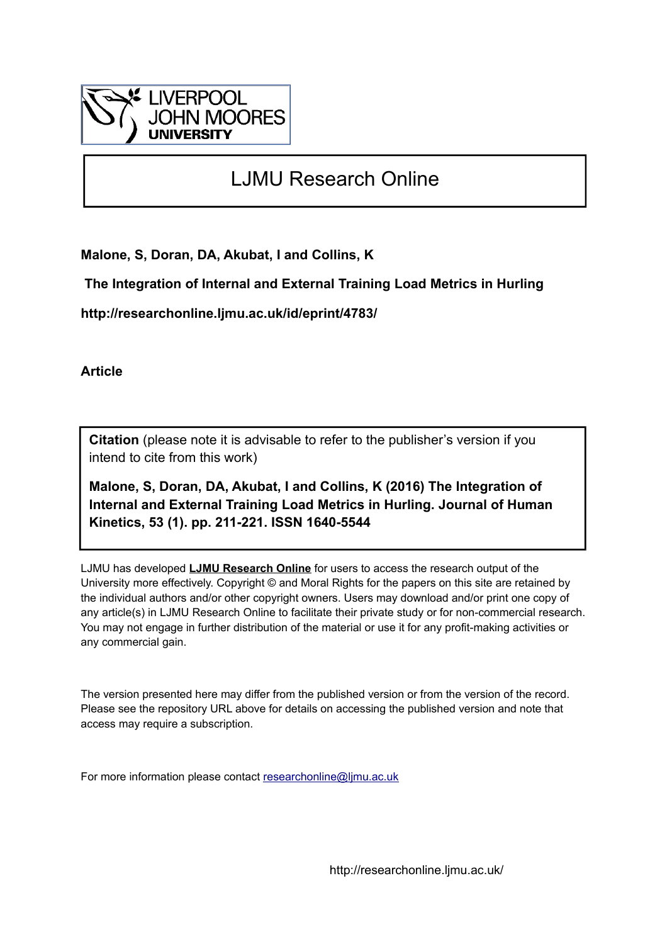

# LJMU Research Online

**Malone, S, Doran, DA, Akubat, I and Collins, K**

 **The Integration of Internal and External Training Load Metrics in Hurling**

**http://researchonline.ljmu.ac.uk/id/eprint/4783/**

**Article**

**Citation** (please note it is advisable to refer to the publisher's version if you intend to cite from this work)

**Malone, S, Doran, DA, Akubat, I and Collins, K (2016) The Integration of Internal and External Training Load Metrics in Hurling. Journal of Human Kinetics, 53 (1). pp. 211-221. ISSN 1640-5544** 

LJMU has developed **[LJMU Research Online](http://researchonline.ljmu.ac.uk/)** for users to access the research output of the University more effectively. Copyright © and Moral Rights for the papers on this site are retained by the individual authors and/or other copyright owners. Users may download and/or print one copy of any article(s) in LJMU Research Online to facilitate their private study or for non-commercial research. You may not engage in further distribution of the material or use it for any profit-making activities or any commercial gain.

The version presented here may differ from the published version or from the version of the record. Please see the repository URL above for details on accessing the published version and note that access may require a subscription.

For more information please contact [researchonline@ljmu.ac.uk](mailto:researchonline@ljmu.ac.uk)

http://researchonline.ljmu.ac.uk/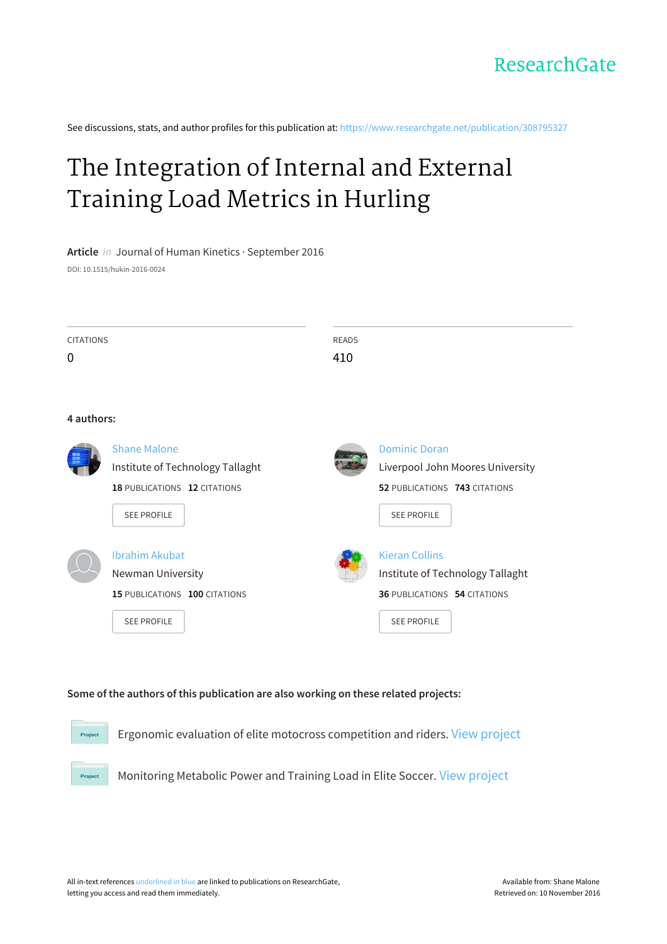See discussions, stats, and author profiles for this publication at: [https://www.researchgate.net/publication/308795327](https://www.researchgate.net/publication/308795327_The_Integration_of_Internal_and_External_Training_Load_Metrics_in_Hurling?enrichId=rgreq-14f010594d2ff5944c2f0356f12488c9-XXX&enrichSource=Y292ZXJQYWdlOzMwODc5NTMyNztBUzo0MTMxNDMyNjUyMzQ5NDVAMTQ3NTUxMjQzODM4MA%3D%3D&el=1_x_2)

# The [Integration](https://www.researchgate.net/publication/308795327_The_Integration_of_Internal_and_External_Training_Load_Metrics_in_Hurling?enrichId=rgreq-14f010594d2ff5944c2f0356f12488c9-XXX&enrichSource=Y292ZXJQYWdlOzMwODc5NTMyNztBUzo0MTMxNDMyNjUyMzQ5NDVAMTQ3NTUxMjQzODM4MA%3D%3D&el=1_x_3) of Internal and External Training Load Metrics in Hurling

**Article** in Journal of Human Kinetics · September 2016

DOI: 10.1515/hukin-2016-0024

| <b>CITATIONS</b> | READS |
|------------------|-------|
| $\mathbf 0$      | 410   |
|                  |       |

#### **4 authors:**

**Project** 

| Shane Malone<br>Institute of Technology Tallaght | <b>Dominic Doran</b><br>Liverpool John Moores University |
|--------------------------------------------------|----------------------------------------------------------|
| <b>18 PUBLICATIONS 12 CITATIONS</b>              | 52 PUBLICATIONS 743 CITATIONS                            |
| <b>SEE PROFILE</b>                               | <b>SEE PROFILE</b>                                       |
| Ibrahim Akubat                                   | <b>Kieran Collins</b>                                    |
| Newman University                                | Institute of Technology Tallaght                         |
| 15 PUBLICATIONS 100 CITATIONS                    | <b>36 PUBLICATIONS 54 CITATIONS</b>                      |
| <b>SEE PROFILE</b>                               | <b>SEE PROFILE</b>                                       |

#### **Some of the authors of this publication are also working on these related projects:**

Ergonomic evaluation of elite motocross competition and riders. View [project](https://www.researchgate.net/project/Ergonomic-evaluation-of-elite-motocross-competition-and-riders?enrichId=rgreq-14f010594d2ff5944c2f0356f12488c9-XXX&enrichSource=Y292ZXJQYWdlOzMwODc5NTMyNztBUzo0MTMxNDMyNjUyMzQ5NDVAMTQ3NTUxMjQzODM4MA%3D%3D&el=1_x_9) Project

Monitoring Metabolic Power and Training Load in Elite Soccer. View [project](https://www.researchgate.net/project/Monitoring-Metabolic-Power-and-Training-Load-in-Elite-Soccer?enrichId=rgreq-14f010594d2ff5944c2f0356f12488c9-XXX&enrichSource=Y292ZXJQYWdlOzMwODc5NTMyNztBUzo0MTMxNDMyNjUyMzQ5NDVAMTQ3NTUxMjQzODM4MA%3D%3D&el=1_x_9)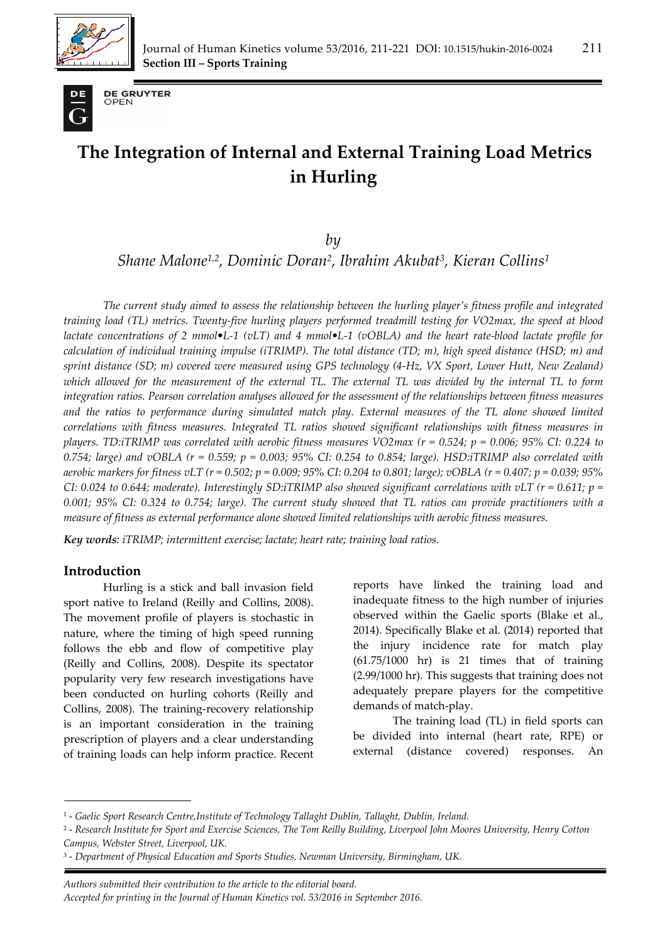



**DE GRUYTER** OPEN

# **The Integration of Internal and External Training Load Metrics in Hurling**

*by* 

*Shane Malone1,2, Dominic Doran2, Ibrahim Akubat3, Kieran Collins1*

*The current study aimed to assess the relationship between the hurling player's fitness profile and integrated training load (TL) metrics. Twenty-five hurling players performed treadmill testing for VO2max, the speed at blood lactate concentrations of 2 mmol•L-1 (vLT) and 4 mmol•L-1 (vOBLA) and the heart rate-blood lactate profile for calculation of individual training impulse (iTRIMP). The total distance (TD; m), high speed distance (HSD; m) and sprint distance (SD; m) covered were measured using GPS technology (4-Hz, VX Sport, Lower Hutt, New Zealand) which allowed for the measurement of the external TL. The external TL was divided by the internal TL to form integration ratios. Pearson correlation analyses allowed for the assessment of the relationships between fitness measures and the ratios to performance during simulated match play. External measures of the TL alone showed limited correlations with fitness measures. Integrated TL ratios showed significant relationships with fitness measures in players. TD:iTRIMP was correlated with aerobic fitness measures VO2max (r = 0.524; p = 0.006; 95% CI: 0.224 to 0.754; large) and vOBLA (r = 0.559; p = 0.003; 95% CI: 0.254 to 0.854; large). HSD:iTRIMP also correlated with aerobic markers for fitness vLT (r = 0.502; p = 0.009; 95% CI: 0.204 to 0.801; large); vOBLA (r = 0.407; p = 0.039; 95% CI*: 0.024 to 0.644; moderate). Interestingly SD:iTRIMP also showed significant correlations with vLT ( $r = 0.611$ ;  $p =$ *0.001; 95% CI: 0.324 to 0.754; large). The current study showed that TL ratios can provide practitioners with a measure of fitness as external performance alone showed limited relationships with aerobic fitness measures.* 

*Key words: iTRIMP; intermittent exercise; lactate; heart rate; training load ratios.* 

## **Introduction**

Hurling is a stick and ball invasion field sport native to Ireland (Reilly and Collins, 2008). The movement profile of players is stochastic in nature, where the timing of high speed running follows the ebb and flow of competitive play (Reilly and Collins, 2008). Despite its spectator popularity very few research investigations have been conducted on hurling cohorts (Reilly and Collins, 2008). The training-recovery relationship is an important consideration in the training prescription of players and a clear understanding of training loads can help inform practice. Recent

reports have linked the training load and inadequate fitness to the high number of injuries observed within the Gaelic sports (Blake et al., 2014). Specifically Blake et al. (2014) reported that the injury incidence rate for match play (61.75/1000 hr) is 21 times that of training (2.99/1000 hr). This suggests that training does not adequately prepare players for the competitive demands of match-play.

The training load (TL) in field sports can be divided into internal (heart rate, RPE) or external (distance covered) responses. An

*. Authors submitted their contribution to the article to the editorial board. Accepted for printing in the Journal of Human Kinetics vol. 53/2016 in September 2016.* 

<sup>1 -</sup> *Gaelic Sport Research Centre,Institute of Technology Tallaght Dublin, Tallaght, Dublin, Ireland.* 

<sup>2 -</sup> *Research Institute for Sport and Exercise Sciences, The Tom Reilly Building, Liverpool John Moores University, Henry Cotton Campus, Webster Street, Liverpool, UK.* 

<sup>3 -</sup> *Department of Physical Education and Sports Studies, Newman University, Birmingham, UK.*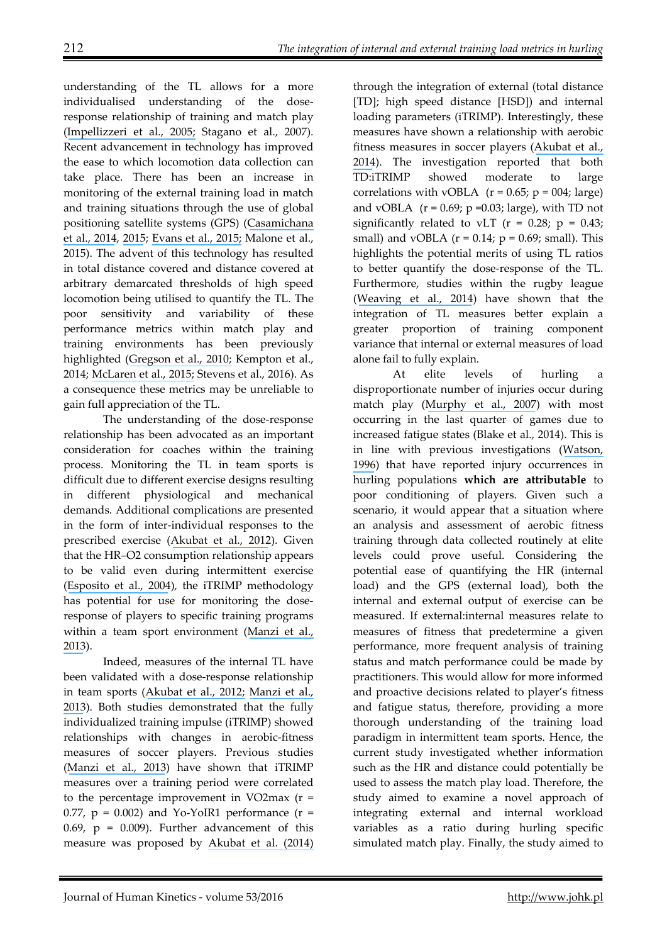understanding of the TL allows for a more individualised understanding of the doseresponse relationship of training and match play ([Impellizzeri et al., 2005;](https://www.researchgate.net/publication/7570075_Physiological_assessment_of_aerobic_training_in_soccer?el=1_x_8&enrichId=rgreq-14f010594d2ff5944c2f0356f12488c9-XXX&enrichSource=Y292ZXJQYWdlOzMwODc5NTMyNztBUzo0MTMxNDMyNjUyMzQ5NDVAMTQ3NTUxMjQzODM4MA==) Stagano et al., 2007). Recent advancement in technology has improved the ease to which locomotion data collection can take place. There has been an increase in monitoring of the external training load in match and training situations through the use of global positioning satellite systems (GPS) ([Casamichana](https://www.researchgate.net/publication/264711779_Effect_of_Number_of_Touches_and_Exercise_Duration_on_the_Kinematic_Profile_and_Heart_Rate_Response_During_Small-Sided_Games_in_Soccer?el=1_x_8&enrichId=rgreq-14f010594d2ff5944c2f0356f12488c9-XXX&enrichSource=Y292ZXJQYWdlOzMwODc5NTMyNztBUzo0MTMxNDMyNjUyMzQ5NDVAMTQ3NTUxMjQzODM4MA==)  [et al., 2014](https://www.researchgate.net/publication/264711779_Effect_of_Number_of_Touches_and_Exercise_Duration_on_the_Kinematic_Profile_and_Heart_Rate_Response_During_Small-Sided_Games_in_Soccer?el=1_x_8&enrichId=rgreq-14f010594d2ff5944c2f0356f12488c9-XXX&enrichSource=Y292ZXJQYWdlOzMwODc5NTMyNztBUzo0MTMxNDMyNjUyMzQ5NDVAMTQ3NTUxMjQzODM4MA==), [2015](https://www.researchgate.net/publication/282851746_Influence_of_the_Type_of_Marking_and_the_Number_of_Players_on_Physiological_and_Physical_Demands_During_Sided_Games_in_Soccer?el=1_x_8&enrichId=rgreq-14f010594d2ff5944c2f0356f12488c9-XXX&enrichSource=Y292ZXJQYWdlOzMwODc5NTMyNztBUzo0MTMxNDMyNjUyMzQ5NDVAMTQ3NTUxMjQzODM4MA==); [Evans et al., 2015;](https://www.researchgate.net/publication/278046900_The_physical_demands_of_Super_League_rugby_Experiences_of_a_newly_promoted_franchise?el=1_x_8&enrichId=rgreq-14f010594d2ff5944c2f0356f12488c9-XXX&enrichSource=Y292ZXJQYWdlOzMwODc5NTMyNztBUzo0MTMxNDMyNjUyMzQ5NDVAMTQ3NTUxMjQzODM4MA==) Malone et al., 2015). The advent of this technology has resulted in total distance covered and distance covered at arbitrary demarcated thresholds of high speed locomotion being utilised to quantify the TL. The poor sensitivity and variability of these performance metrics within match play and training environments has been previously highlighted ([Gregson et al., 2010;](https://www.researchgate.net/publication/41436251_Match-to-Match_Variability_of_High-Speed_Activities_in_Premier_League_Soccer?el=1_x_8&enrichId=rgreq-14f010594d2ff5944c2f0356f12488c9-XXX&enrichSource=Y292ZXJQYWdlOzMwODc5NTMyNztBUzo0MTMxNDMyNjUyMzQ5NDVAMTQ3NTUxMjQzODM4MA==) Kempton et al., 2014; [McLaren et al., 2015;](https://www.researchgate.net/publication/277784610_Variability_of_physical_performance_and_player_match_loads_in_professional_rugby_union?el=1_x_8&enrichId=rgreq-14f010594d2ff5944c2f0356f12488c9-XXX&enrichSource=Y292ZXJQYWdlOzMwODc5NTMyNztBUzo0MTMxNDMyNjUyMzQ5NDVAMTQ3NTUxMjQzODM4MA==) Stevens et al., 2016). As a consequence these metrics may be unreliable to gain full appreciation of the TL.

The understanding of the dose-response relationship has been advocated as an important consideration for coaches within the training process. Monitoring the TL in team sports is difficult due to different exercise designs resulting in different physiological and mechanical demands. Additional complications are presented in the form of inter-individual responses to the prescribed exercise ([Akubat et al., 2012](https://www.researchgate.net/publication/230614629_Methods_of_monitoring_the_training_and_match_load_and_their_relationship_to_changes_in_fitness_in_professional_youth_soccer_players?el=1_x_8&enrichId=rgreq-14f010594d2ff5944c2f0356f12488c9-XXX&enrichSource=Y292ZXJQYWdlOzMwODc5NTMyNztBUzo0MTMxNDMyNjUyMzQ5NDVAMTQ3NTUxMjQzODM4MA==)). Given that the HR–O2 consumption relationship appears to be valid even during intermittent exercise ([Esposito et al., 2004](https://www.researchgate.net/publication/8432209_Validity_of_heart_rate_as_an_indicator_of_aerobic_demand_during_soccer_activities_in_amateur_soccer_players?el=1_x_8&enrichId=rgreq-14f010594d2ff5944c2f0356f12488c9-XXX&enrichSource=Y292ZXJQYWdlOzMwODc5NTMyNztBUzo0MTMxNDMyNjUyMzQ5NDVAMTQ3NTUxMjQzODM4MA==)), the iTRIMP methodology has potential for use for monitoring the doseresponse of players to specific training programs within a team sport environment ([Manzi et al.,](https://www.researchgate.net/publication/225078694_Individual_Training-Load_and_Aerobic-Fitness_Variables_in_Premiership_Soccer_Players_During_the_Precompetitive_Season?el=1_x_8&enrichId=rgreq-14f010594d2ff5944c2f0356f12488c9-XXX&enrichSource=Y292ZXJQYWdlOzMwODc5NTMyNztBUzo0MTMxNDMyNjUyMzQ5NDVAMTQ3NTUxMjQzODM4MA==)  [2013](https://www.researchgate.net/publication/225078694_Individual_Training-Load_and_Aerobic-Fitness_Variables_in_Premiership_Soccer_Players_During_the_Precompetitive_Season?el=1_x_8&enrichId=rgreq-14f010594d2ff5944c2f0356f12488c9-XXX&enrichSource=Y292ZXJQYWdlOzMwODc5NTMyNztBUzo0MTMxNDMyNjUyMzQ5NDVAMTQ3NTUxMjQzODM4MA==)).

Indeed, measures of the internal TL have been validated with a dose-response relationship in team sports ([Akubat et al., 2012;](https://www.researchgate.net/publication/230614629_Methods_of_monitoring_the_training_and_match_load_and_their_relationship_to_changes_in_fitness_in_professional_youth_soccer_players?el=1_x_8&enrichId=rgreq-14f010594d2ff5944c2f0356f12488c9-XXX&enrichSource=Y292ZXJQYWdlOzMwODc5NTMyNztBUzo0MTMxNDMyNjUyMzQ5NDVAMTQ3NTUxMjQzODM4MA==) [Manzi et al.,](https://www.researchgate.net/publication/225078694_Individual_Training-Load_and_Aerobic-Fitness_Variables_in_Premiership_Soccer_Players_During_the_Precompetitive_Season?el=1_x_8&enrichId=rgreq-14f010594d2ff5944c2f0356f12488c9-XXX&enrichSource=Y292ZXJQYWdlOzMwODc5NTMyNztBUzo0MTMxNDMyNjUyMzQ5NDVAMTQ3NTUxMjQzODM4MA==)  [2013](https://www.researchgate.net/publication/225078694_Individual_Training-Load_and_Aerobic-Fitness_Variables_in_Premiership_Soccer_Players_During_the_Precompetitive_Season?el=1_x_8&enrichId=rgreq-14f010594d2ff5944c2f0356f12488c9-XXX&enrichSource=Y292ZXJQYWdlOzMwODc5NTMyNztBUzo0MTMxNDMyNjUyMzQ5NDVAMTQ3NTUxMjQzODM4MA==)). Both studies demonstrated that the fully individualized training impulse (iTRIMP) showed relationships with changes in aerobic-fitness measures of soccer players. Previous studies ([Manzi et al., 2013](https://www.researchgate.net/publication/225078694_Individual_Training-Load_and_Aerobic-Fitness_Variables_in_Premiership_Soccer_Players_During_the_Precompetitive_Season?el=1_x_8&enrichId=rgreq-14f010594d2ff5944c2f0356f12488c9-XXX&enrichSource=Y292ZXJQYWdlOzMwODc5NTMyNztBUzo0MTMxNDMyNjUyMzQ5NDVAMTQ3NTUxMjQzODM4MA==)) have shown that iTRIMP measures over a training period were correlated to the percentage improvement in VO2max  $(r =$ 0.77,  $p = 0.002$ ) and Yo-YoIR1 performance ( $r =$ 0.69,  $p = 0.009$ ). Further advancement of this measure was proposed by [Akubat et al. \(2014\)](https://www.researchgate.net/publication/235895706_Integrating_the_Internal_and_External_Training_Load_in_Soccer?el=1_x_8&enrichId=rgreq-14f010594d2ff5944c2f0356f12488c9-XXX&enrichSource=Y292ZXJQYWdlOzMwODc5NTMyNztBUzo0MTMxNDMyNjUyMzQ5NDVAMTQ3NTUxMjQzODM4MA==) 

through the integration of external (total distance [TD]; high speed distance [HSD]) and internal loading parameters (iTRIMP). Interestingly, these measures have shown a relationship with aerobic fitness measures in soccer players ([Akubat et al.,](https://www.researchgate.net/publication/235895706_Integrating_the_Internal_and_External_Training_Load_in_Soccer?el=1_x_8&enrichId=rgreq-14f010594d2ff5944c2f0356f12488c9-XXX&enrichSource=Y292ZXJQYWdlOzMwODc5NTMyNztBUzo0MTMxNDMyNjUyMzQ5NDVAMTQ3NTUxMjQzODM4MA==)  [2014](https://www.researchgate.net/publication/235895706_Integrating_the_Internal_and_External_Training_Load_in_Soccer?el=1_x_8&enrichId=rgreq-14f010594d2ff5944c2f0356f12488c9-XXX&enrichSource=Y292ZXJQYWdlOzMwODc5NTMyNztBUzo0MTMxNDMyNjUyMzQ5NDVAMTQ3NTUxMjQzODM4MA==)). The investigation reported that both TD:iTRIMP showed moderate to large correlations with vOBLA  $(r = 0.65; p = 004; \text{large})$ and vOBLA  $(r = 0.69; p = 0.03; large)$ , with TD not significantly related to vLT ( $r = 0.28$ ;  $p = 0.43$ ; small) and vOBLA ( $r = 0.14$ ;  $p = 0.69$ ; small). This highlights the potential merits of using TL ratios to better quantify the dose-response of the TL. Furthermore, studies within the rugby league ([Weaving et al., 2014](https://www.researchgate.net/publication/260484694_Combining_Internal-_and_External-Training-Load_Measures_in_Professional_Rugby_League?el=1_x_8&enrichId=rgreq-14f010594d2ff5944c2f0356f12488c9-XXX&enrichSource=Y292ZXJQYWdlOzMwODc5NTMyNztBUzo0MTMxNDMyNjUyMzQ5NDVAMTQ3NTUxMjQzODM4MA==)) have shown that the integration of TL measures better explain a greater proportion of training component variance that internal or external measures of load alone fail to fully explain.

At elite levels of hurling disproportionate number of injuries occur during match play ([Murphy et al., 2007](https://www.researchgate.net/publication/47509652_Injury_in_elite_county-level_hurling_A_prospective_study?el=1_x_8&enrichId=rgreq-14f010594d2ff5944c2f0356f12488c9-XXX&enrichSource=Y292ZXJQYWdlOzMwODc5NTMyNztBUzo0MTMxNDMyNjUyMzQ5NDVAMTQ3NTUxMjQzODM4MA==)) with most occurring in the last quarter of games due to increased fatigue states (Blake et al., 2014). This is in line with previous investigations ([Watson,](https://www.researchgate.net/publication/14467399_Sports_Injuries_in_the_Game_of_Hurling_A_One-Year_Prospective_Study?el=1_x_8&enrichId=rgreq-14f010594d2ff5944c2f0356f12488c9-XXX&enrichSource=Y292ZXJQYWdlOzMwODc5NTMyNztBUzo0MTMxNDMyNjUyMzQ5NDVAMTQ3NTUxMjQzODM4MA==)  [1996](https://www.researchgate.net/publication/14467399_Sports_Injuries_in_the_Game_of_Hurling_A_One-Year_Prospective_Study?el=1_x_8&enrichId=rgreq-14f010594d2ff5944c2f0356f12488c9-XXX&enrichSource=Y292ZXJQYWdlOzMwODc5NTMyNztBUzo0MTMxNDMyNjUyMzQ5NDVAMTQ3NTUxMjQzODM4MA==)) that have reported injury occurrences in hurling populations **which are attributable** to poor conditioning of players. Given such a scenario, it would appear that a situation where an analysis and assessment of aerobic fitness training through data collected routinely at elite levels could prove useful. Considering the potential ease of quantifying the HR (internal load) and the GPS (external load), both the internal and external output of exercise can be measured. If external:internal measures relate to measures of fitness that predetermine a given performance, more frequent analysis of training status and match performance could be made by practitioners. This would allow for more informed and proactive decisions related to player's fitness and fatigue status, therefore, providing a more thorough understanding of the training load paradigm in intermittent team sports. Hence, the current study investigated whether information such as the HR and distance could potentially be used to assess the match play load. Therefore, the study aimed to examine a novel approach of integrating external and internal workload variables as a ratio during hurling specific simulated match play. Finally, the study aimed to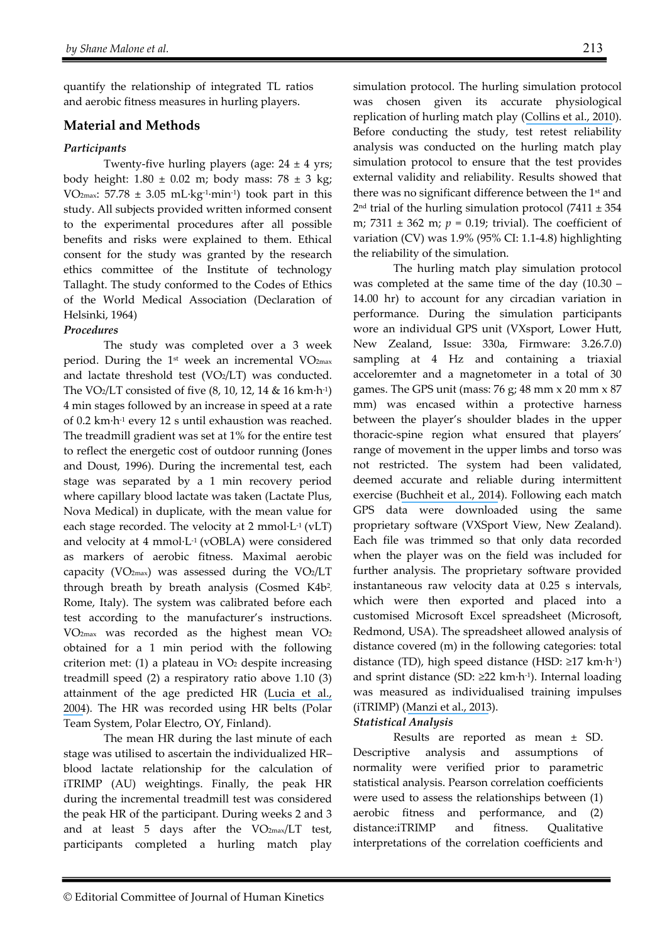quantify the relationship of integrated TL ratios and aerobic fitness measures in hurling players.

### **Material and Methods**

#### *Participants*

Twenty-five hurling players (age:  $24 \pm 4$  yrs; body height:  $1.80 \pm 0.02$  m; body mass:  $78 \pm 3$  kg; VO<sub>2max</sub>: 57.78  $\pm$  3.05 mL·kg<sup>-1</sup>·min<sup>-1</sup>) took part in this study. All subjects provided written informed consent to the experimental procedures after all possible benefits and risks were explained to them. Ethical consent for the study was granted by the research ethics committee of the Institute of technology Tallaght. The study conformed to the Codes of Ethics of the World Medical Association (Declaration of Helsinki, 1964)

#### *Procedures*

The study was completed over a 3 week period. During the 1<sup>st</sup> week an incremental VO<sub>2max</sub> and lactate threshold test (VO2/LT) was conducted. The VO2/LT consisted of five (8, 10, 12, 14 & 16 km·h-1) 4 min stages followed by an increase in speed at a rate of 0.2 km·h-1 every 12 s until exhaustion was reached. The treadmill gradient was set at 1% for the entire test to reflect the energetic cost of outdoor running (Jones and Doust, 1996). During the incremental test, each stage was separated by a 1 min recovery period where capillary blood lactate was taken (Lactate Plus, Nova Medical) in duplicate, with the mean value for each stage recorded. The velocity at 2 mmol $L^1$  (vLT) and velocity at 4 mmol·L-1 (vOBLA) were considered as markers of aerobic fitness. Maximal aerobic capacity (VO<sub>2max</sub>) was assessed during the VO<sub>2</sub>/LT through breath by breath analysis (Cosmed K4b2, Rome, Italy). The system was calibrated before each test according to the manufacturer's instructions. VO2max was recorded as the highest mean VO2 obtained for a 1 min period with the following criterion met:  $(1)$  a plateau in  $VO<sub>2</sub>$  despite increasing treadmill speed (2) a respiratory ratio above 1.10 (3) attainment of the age predicted HR ([Lucia et al.,](https://www.researchgate.net/publication/8325803_Which_laboratory_variable_is_related_with_time_trial_performance_time_in_the_Tour_de_France?el=1_x_8&enrichId=rgreq-14f010594d2ff5944c2f0356f12488c9-XXX&enrichSource=Y292ZXJQYWdlOzMwODc5NTMyNztBUzo0MTMxNDMyNjUyMzQ5NDVAMTQ3NTUxMjQzODM4MA==) [2004](https://www.researchgate.net/publication/8325803_Which_laboratory_variable_is_related_with_time_trial_performance_time_in_the_Tour_de_France?el=1_x_8&enrichId=rgreq-14f010594d2ff5944c2f0356f12488c9-XXX&enrichSource=Y292ZXJQYWdlOzMwODc5NTMyNztBUzo0MTMxNDMyNjUyMzQ5NDVAMTQ3NTUxMjQzODM4MA==)). The HR was recorded using HR belts (Polar Team System, Polar Electro, OY, Finland).

The mean HR during the last minute of each stage was utilised to ascertain the individualized HR– blood lactate relationship for the calculation of iTRIMP (AU) weightings. Finally, the peak HR during the incremental treadmill test was considered the peak HR of the participant. During weeks 2 and 3 and at least 5 days after the  $VO_{2max}/LT$  test, participants completed a hurling match play simulation protocol. The hurling simulation protocol was chosen given its accurate physiological replication of hurling match play ([Collins et al., 2010](https://www.researchgate.net/publication/290230147_The_physiological_demands_of_hurling_match-play?el=1_x_8&enrichId=rgreq-14f010594d2ff5944c2f0356f12488c9-XXX&enrichSource=Y292ZXJQYWdlOzMwODc5NTMyNztBUzo0MTMxNDMyNjUyMzQ5NDVAMTQ3NTUxMjQzODM4MA==)). Before conducting the study, test retest reliability analysis was conducted on the hurling match play simulation protocol to ensure that the test provides external validity and reliability. Results showed that there was no significant difference between the 1<sup>st</sup> and  $2<sup>nd</sup>$  trial of the hurling simulation protocol (7411  $\pm$  354 m; 7311 ± 362 m; *p* = 0.19; trivial). The coefficient of variation (CV) was 1.9% (95% CI: 1.1-4.8) highlighting the reliability of the simulation.

The hurling match play simulation protocol was completed at the same time of the day (10.30 – 14.00 hr) to account for any circadian variation in performance. During the simulation participants wore an individual GPS unit (VXsport, Lower Hutt, New Zealand, Issue: 330a, Firmware: 3.26.7.0) sampling at 4 Hz and containing a triaxial acceloremter and a magnetometer in a total of 30 games. The GPS unit (mass:  $76$  g;  $48$  mm  $\times$   $20$  mm  $\times$   $87$ mm) was encased within a protective harness between the player's shoulder blades in the upper thoracic-spine region what ensured that players' range of movement in the upper limbs and torso was not restricted. The system had been validated, deemed accurate and reliable during intermittent exercise ([Buchheit et al., 2014](https://www.researchgate.net/publication/264500776_Integrating_different_tracking_systems_in_football_multiple_camera_semi-automatic_system_local_position_measurement_and_GPS_technologies?el=1_x_8&enrichId=rgreq-14f010594d2ff5944c2f0356f12488c9-XXX&enrichSource=Y292ZXJQYWdlOzMwODc5NTMyNztBUzo0MTMxNDMyNjUyMzQ5NDVAMTQ3NTUxMjQzODM4MA==)). Following each match GPS data were downloaded using the same proprietary software (VXSport View, New Zealand). Each file was trimmed so that only data recorded when the player was on the field was included for further analysis. The proprietary software provided instantaneous raw velocity data at 0.25 s intervals, which were then exported and placed into a customised Microsoft Excel spreadsheet (Microsoft, Redmond, USA). The spreadsheet allowed analysis of distance covered (m) in the following categories: total distance (TD), high speed distance (HSD: ≥17 km·h-1) and sprint distance (SD:  $\geq$ 22 km·h<sup>-1</sup>). Internal loading was measured as individualised training impulses (iTRIMP) ([Manzi et al., 2013](https://www.researchgate.net/publication/225078694_Individual_Training-Load_and_Aerobic-Fitness_Variables_in_Premiership_Soccer_Players_During_the_Precompetitive_Season?el=1_x_8&enrichId=rgreq-14f010594d2ff5944c2f0356f12488c9-XXX&enrichSource=Y292ZXJQYWdlOzMwODc5NTMyNztBUzo0MTMxNDMyNjUyMzQ5NDVAMTQ3NTUxMjQzODM4MA==)).

#### *Statistical Analysis*

Results are reported as mean ± SD. Descriptive analysis and assumptions of normality were verified prior to parametric statistical analysis. Pearson correlation coefficients were used to assess the relationships between (1) aerobic fitness and performance, and (2) distance:iTRIMP and fitness. Qualitative interpretations of the correlation coefficients and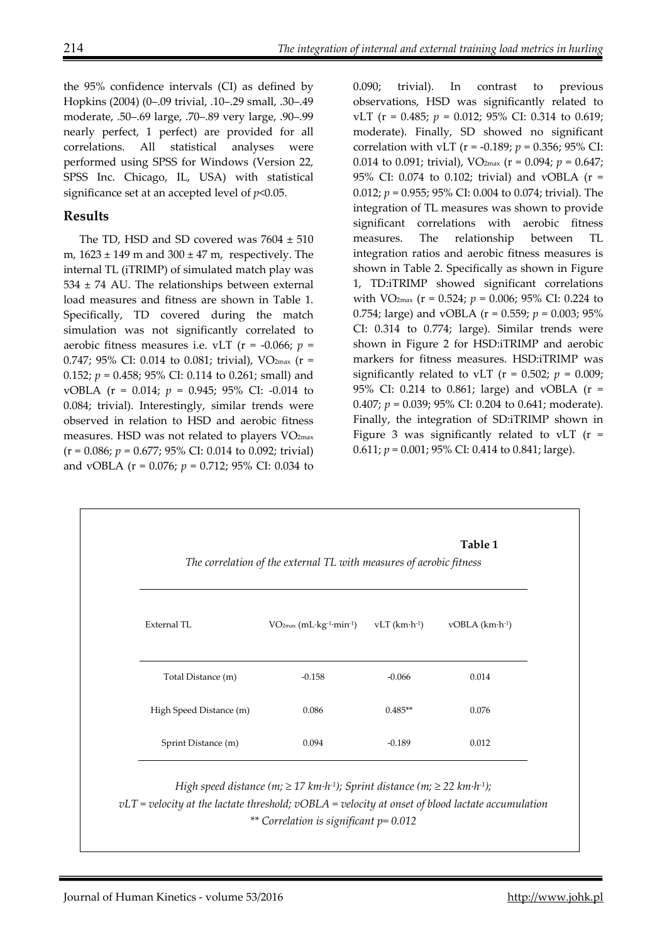the 95% confidence intervals (CI) as defined by Hopkins (2004) (0–.09 trivial, .10–.29 small, .30–.49 moderate, .50–.69 large, .70–.89 very large, .90–.99 nearly perfect, 1 perfect) are provided for all correlations. All statistical analyses were performed using SPSS for Windows (Version 22, SPSS Inc. Chicago, IL, USA) with statistical significance set at an accepted level of *p*<0.05.

# **Results**

The TD, HSD and SD covered was 7604 ± 510 m,  $1623 \pm 149$  m and  $300 \pm 47$  m, respectively. The internal TL (iTRIMP) of simulated match play was  $534 \pm 74$  AU. The relationships between external load measures and fitness are shown in Table 1. Specifically, TD covered during the match simulation was not significantly correlated to aerobic fitness measures i.e. vLT ( $r = -0.066$ ;  $p =$ 0.747; 95% CI: 0.014 to 0.081; trivial),  $VO_{2max}$  (r = 0.152; *p* = 0.458; 95% CI: 0.114 to 0.261; small) and vOBLA (r = 0.014; *p* = 0.945; 95% CI: -0.014 to 0.084; trivial). Interestingly, similar trends were observed in relation to HSD and aerobic fitness measures. HSD was not related to players VO2max (r = 0.086; *p* = 0.677; 95% CI: 0.014 to 0.092; trivial) and vOBLA (r = 0.076; *p* = 0.712; 95% CI: 0.034 to

0.090; trivial). In contrast to previous observations, HSD was significantly related to vLT (r = 0.485; *p* = 0.012; 95% CI: 0.314 to 0.619; moderate). Finally, SD showed no significant correlation with vLT (r = -0.189; *p* = 0.356; 95% CI: 0.014 to 0.091; trivial),  $VO_{2max}$  ( $r = 0.094$ ;  $p = 0.647$ ; 95% CI: 0.074 to 0.102; trivial) and vOBLA (r = 0.012; *p* = 0.955; 95% CI: 0.004 to 0.074; trivial). The integration of TL measures was shown to provide significant correlations with aerobic fitness measures. The relationship between TL integration ratios and aerobic fitness measures is shown in Table 2. Specifically as shown in Figure 1, TD:iTRIMP showed significant correlations with VO2max (r = 0.524; *p* = 0.006; 95% CI: 0.224 to 0.754; large) and vOBLA ( $r = 0.559$ ;  $p = 0.003$ ; 95% CI: 0.314 to 0.774; large). Similar trends were shown in Figure 2 for HSD:iTRIMP and aerobic markers for fitness measures. HSD:iTRIMP was significantly related to vLT ( $r = 0.502$ ;  $p = 0.009$ ; 95% CI: 0.214 to 0.861; large) and vOBLA (r = 0.407; *p* = 0.039; 95% CI: 0.204 to 0.641; moderate). Finally, the integration of SD:iTRIMP shown in Figure 3 was significantly related to vLT  $(r =$ 0.611; *p* = 0.001; 95% CI: 0.414 to 0.841; large).

| Table 1<br>The correlation of the external TL with measures of aerobic fitness |                                                    |                        |                |  |
|--------------------------------------------------------------------------------|----------------------------------------------------|------------------------|----------------|--|
| External TL                                                                    | $VO2max$ (mL·kg <sup>-1</sup> ·min <sup>-1</sup> ) | vLT $(km\cdot h^{-1})$ | vOBLA (km·h-1) |  |
| Total Distance (m)                                                             | $-0.158$                                           | $-0.066$               | 0.014          |  |
| High Speed Distance (m)                                                        | 0.086                                              | $0.485**$              | 0.076          |  |
| Sprint Distance (m)                                                            | 0.094                                              | $-0.189$               | 0.012          |  |

*High speed distance (m;*  $\geq$  *17 km·h<sup>-1</sup>); Sprint distance (m;*  $\geq$  *22 km·h<sup>-1</sup>);* 

*vLT = velocity at the lactate threshold; vOBLA = velocity at onset of blood lactate accumulation \*\* Correlation is significant p= 0.012*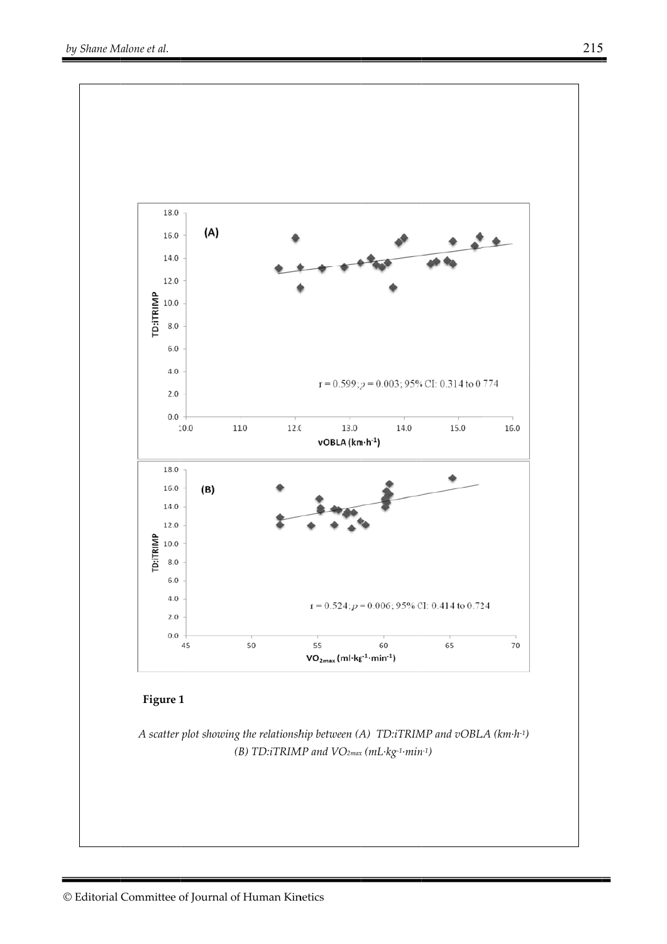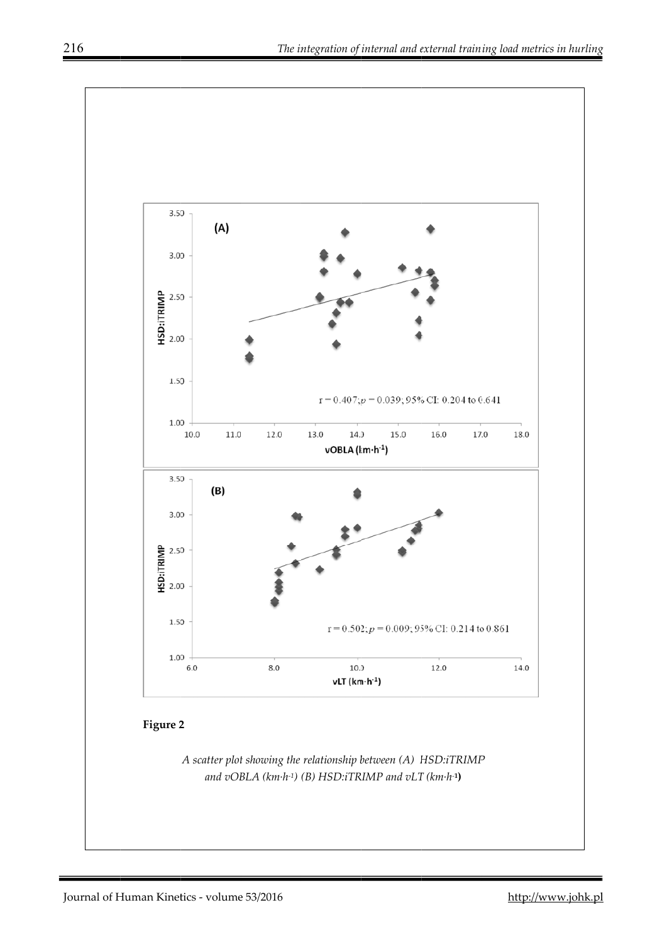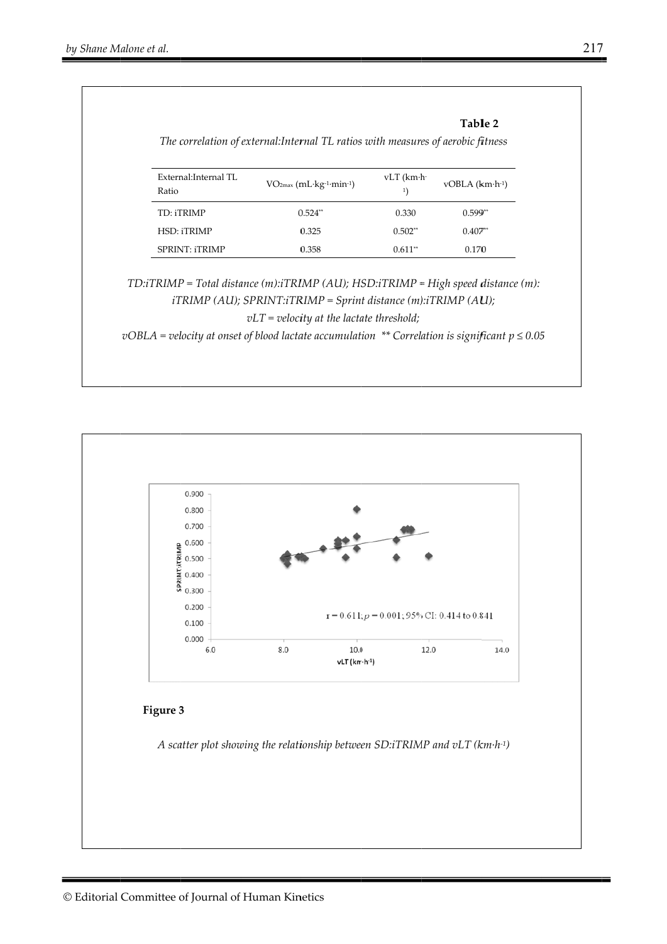| External: Internal TL<br>Ratio | $VO2max$ (mL·kg-1·min-1)                                                                                                                                                                                    | $vLT$ (km $\cdot$ h $\cdot$<br>$^{1}$ | $vOBLA$ ( $km\cdot h^{-1}$ ) |
|--------------------------------|-------------------------------------------------------------------------------------------------------------------------------------------------------------------------------------------------------------|---------------------------------------|------------------------------|
| TD: iTRIMP                     | $0.524**$                                                                                                                                                                                                   | 0.330                                 | $0.599**$                    |
| <b>HSD: iTRIMP</b>             | 0.325                                                                                                                                                                                                       | $0.502**$                             | $0.407**$                    |
| <b>SPRINT: iTRIMP</b>          | 0.358                                                                                                                                                                                                       | $0.611**$                             | 0.170                        |
|                                | $TD:TRIMP = Total distance (m): iTRIMP (AU); HSD: iTRIMP = High speed distance (m):$<br>$iTRIMP (AU)$ ; $SPRINT: iTRIMP = Sprint distance (m): iTRIMP (AU)$ ;<br>$vLT = velocity$ at the lactate threshold; |                                       |                              |

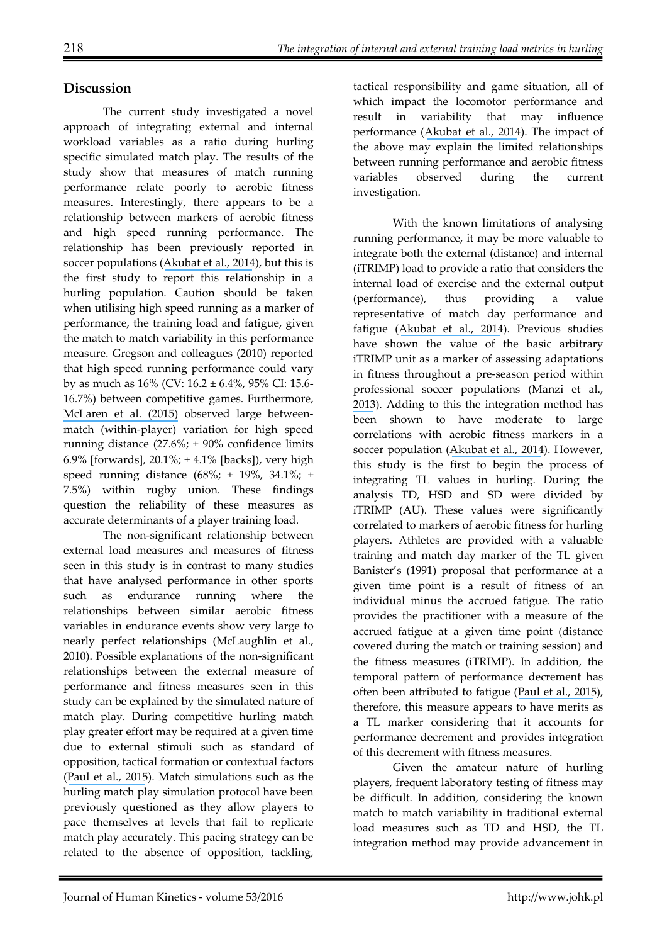# **Discussion**

The current study investigated a novel approach of integrating external and internal workload variables as a ratio during hurling specific simulated match play. The results of the study show that measures of match running performance relate poorly to aerobic fitness measures. Interestingly, there appears to be a relationship between markers of aerobic fitness and high speed running performance. The relationship has been previously reported in soccer populations ([Akubat et al., 2014](https://www.researchgate.net/publication/235895706_Integrating_the_Internal_and_External_Training_Load_in_Soccer?el=1_x_8&enrichId=rgreq-14f010594d2ff5944c2f0356f12488c9-XXX&enrichSource=Y292ZXJQYWdlOzMwODc5NTMyNztBUzo0MTMxNDMyNjUyMzQ5NDVAMTQ3NTUxMjQzODM4MA==)), but this is the first study to report this relationship in a hurling population. Caution should be taken when utilising high speed running as a marker of performance, the training load and fatigue, given the match to match variability in this performance measure. Gregson and colleagues (2010) reported that high speed running performance could vary by as much as 16% (CV: 16.2 ± 6.4%, 95% CI: 15.6- 16.7%) between competitive games. Furthermore, [McLaren et al. \(2015\)](https://www.researchgate.net/publication/277784610_Variability_of_physical_performance_and_player_match_loads_in_professional_rugby_union?el=1_x_8&enrichId=rgreq-14f010594d2ff5944c2f0356f12488c9-XXX&enrichSource=Y292ZXJQYWdlOzMwODc5NTMyNztBUzo0MTMxNDMyNjUyMzQ5NDVAMTQ3NTUxMjQzODM4MA==) observed large betweenmatch (within-player) variation for high speed running distance  $(27.6\% \div 90\% \text{ confidence limits})$ 6.9% [forwards], 20.1%; ± 4.1% [backs]), very high speed running distance  $(68\%;\pm 19\%, 34.1\%;\pm 19\%)$ 7.5%) within rugby union. These findings question the reliability of these measures as accurate determinants of a player training load.

The non-significant relationship between external load measures and measures of fitness seen in this study is in contrast to many studies that have analysed performance in other sports such as endurance running where the relationships between similar aerobic fitness variables in endurance events show very large to nearly perfect relationships ([McLaughlin et al.,](https://www.researchgate.net/publication/40483825_Test_of_the_Classic_Model_for_Predicting_Endurance_Running_Performance?el=1_x_8&enrichId=rgreq-14f010594d2ff5944c2f0356f12488c9-XXX&enrichSource=Y292ZXJQYWdlOzMwODc5NTMyNztBUzo0MTMxNDMyNjUyMzQ5NDVAMTQ3NTUxMjQzODM4MA==) [2010](https://www.researchgate.net/publication/40483825_Test_of_the_Classic_Model_for_Predicting_Endurance_Running_Performance?el=1_x_8&enrichId=rgreq-14f010594d2ff5944c2f0356f12488c9-XXX&enrichSource=Y292ZXJQYWdlOzMwODc5NTMyNztBUzo0MTMxNDMyNjUyMzQ5NDVAMTQ3NTUxMjQzODM4MA==)). Possible explanations of the non-significant relationships between the external measure of performance and fitness measures seen in this study can be explained by the simulated nature of match play. During competitive hurling match play greater effort may be required at a given time due to external stimuli such as standard of opposition, tactical formation or contextual factors ([Paul et al., 2015](https://www.researchgate.net/publication/273071207_Factors_Affecting_Match_Running_Performance_of_Elite_Soccer_Players_Shedding_Some_Light_on_the_Complexity?el=1_x_8&enrichId=rgreq-14f010594d2ff5944c2f0356f12488c9-XXX&enrichSource=Y292ZXJQYWdlOzMwODc5NTMyNztBUzo0MTMxNDMyNjUyMzQ5NDVAMTQ3NTUxMjQzODM4MA==)). Match simulations such as the hurling match play simulation protocol have been previously questioned as they allow players to pace themselves at levels that fail to replicate match play accurately. This pacing strategy can be related to the absence of opposition, tackling,

tactical responsibility and game situation, all of which impact the locomotor performance and result in variability that may influence performance ([Akubat et al., 2014](https://www.researchgate.net/publication/235895706_Integrating_the_Internal_and_External_Training_Load_in_Soccer?el=1_x_8&enrichId=rgreq-14f010594d2ff5944c2f0356f12488c9-XXX&enrichSource=Y292ZXJQYWdlOzMwODc5NTMyNztBUzo0MTMxNDMyNjUyMzQ5NDVAMTQ3NTUxMjQzODM4MA==)). The impact of the above may explain the limited relationships between running performance and aerobic fitness variables observed during the current investigation.

With the known limitations of analysing running performance, it may be more valuable to integrate both the external (distance) and internal (iTRIMP) load to provide a ratio that considers the internal load of exercise and the external output (performance), thus providing a value representative of match day performance and fatigue ([Akubat et al., 2014](https://www.researchgate.net/publication/235895706_Integrating_the_Internal_and_External_Training_Load_in_Soccer?el=1_x_8&enrichId=rgreq-14f010594d2ff5944c2f0356f12488c9-XXX&enrichSource=Y292ZXJQYWdlOzMwODc5NTMyNztBUzo0MTMxNDMyNjUyMzQ5NDVAMTQ3NTUxMjQzODM4MA==)). Previous studies have shown the value of the basic arbitrary iTRIMP unit as a marker of assessing adaptations in fitness throughout a pre-season period within professional soccer populations ([Manzi et al.,](https://www.researchgate.net/publication/225078694_Individual_Training-Load_and_Aerobic-Fitness_Variables_in_Premiership_Soccer_Players_During_the_Precompetitive_Season?el=1_x_8&enrichId=rgreq-14f010594d2ff5944c2f0356f12488c9-XXX&enrichSource=Y292ZXJQYWdlOzMwODc5NTMyNztBUzo0MTMxNDMyNjUyMzQ5NDVAMTQ3NTUxMjQzODM4MA==)  [2013](https://www.researchgate.net/publication/225078694_Individual_Training-Load_and_Aerobic-Fitness_Variables_in_Premiership_Soccer_Players_During_the_Precompetitive_Season?el=1_x_8&enrichId=rgreq-14f010594d2ff5944c2f0356f12488c9-XXX&enrichSource=Y292ZXJQYWdlOzMwODc5NTMyNztBUzo0MTMxNDMyNjUyMzQ5NDVAMTQ3NTUxMjQzODM4MA==)). Adding to this the integration method has been shown to have moderate to large correlations with aerobic fitness markers in a soccer population ([Akubat et al., 2014](https://www.researchgate.net/publication/235895706_Integrating_the_Internal_and_External_Training_Load_in_Soccer?el=1_x_8&enrichId=rgreq-14f010594d2ff5944c2f0356f12488c9-XXX&enrichSource=Y292ZXJQYWdlOzMwODc5NTMyNztBUzo0MTMxNDMyNjUyMzQ5NDVAMTQ3NTUxMjQzODM4MA==)). However, this study is the first to begin the process of integrating TL values in hurling. During the analysis TD, HSD and SD were divided by iTRIMP (AU). These values were significantly correlated to markers of aerobic fitness for hurling players. Athletes are provided with a valuable training and match day marker of the TL given Banister's (1991) proposal that performance at a given time point is a result of fitness of an individual minus the accrued fatigue. The ratio provides the practitioner with a measure of the accrued fatigue at a given time point (distance covered during the match or training session) and the fitness measures (iTRIMP). In addition, the temporal pattern of performance decrement has often been attributed to fatigue ([Paul et al., 2015](https://www.researchgate.net/publication/273071207_Factors_Affecting_Match_Running_Performance_of_Elite_Soccer_Players_Shedding_Some_Light_on_the_Complexity?el=1_x_8&enrichId=rgreq-14f010594d2ff5944c2f0356f12488c9-XXX&enrichSource=Y292ZXJQYWdlOzMwODc5NTMyNztBUzo0MTMxNDMyNjUyMzQ5NDVAMTQ3NTUxMjQzODM4MA==)), therefore, this measure appears to have merits as a TL marker considering that it accounts for performance decrement and provides integration of this decrement with fitness measures.

Given the amateur nature of hurling players, frequent laboratory testing of fitness may be difficult. In addition, considering the known match to match variability in traditional external load measures such as TD and HSD, the TL integration method may provide advancement in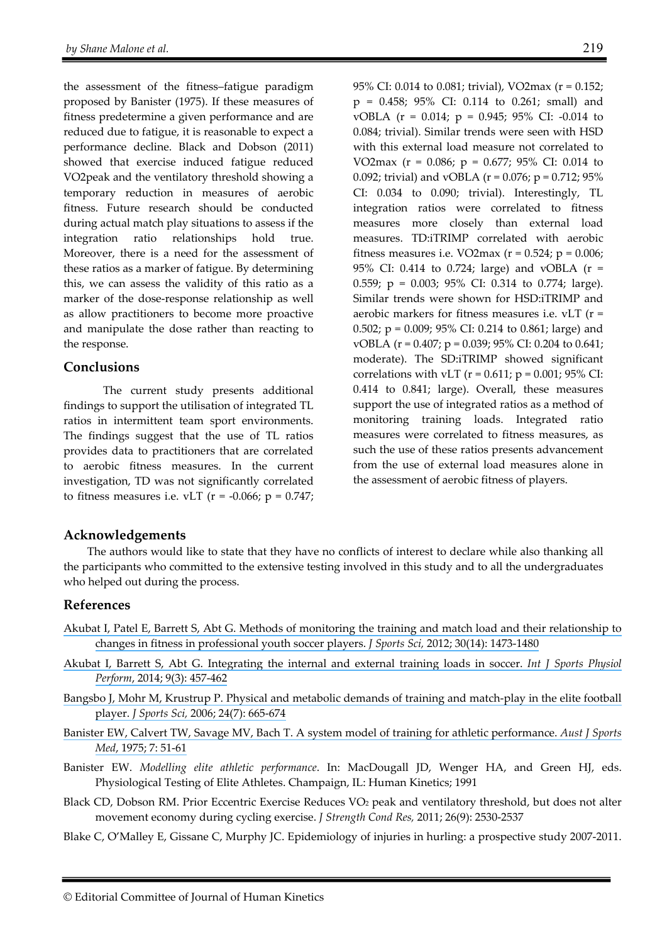the assessment of the fitness–fatigue paradigm proposed by Banister (1975). If these measures of fitness predetermine a given performance and are reduced due to fatigue, it is reasonable to expect a performance decline. Black and Dobson (2011) showed that exercise induced fatigue reduced VO2peak and the ventilatory threshold showing a temporary reduction in measures of aerobic fitness. Future research should be conducted during actual match play situations to assess if the integration ratio relationships hold true. Moreover, there is a need for the assessment of these ratios as a marker of fatigue. By determining this, we can assess the validity of this ratio as a marker of the dose-response relationship as well as allow practitioners to become more proactive and manipulate the dose rather than reacting to the response.

#### **Conclusions**

The current study presents additional findings to support the utilisation of integrated TL ratios in intermittent team sport environments. The findings suggest that the use of TL ratios provides data to practitioners that are correlated to aerobic fitness measures. In the current investigation, TD was not significantly correlated to fitness measures i.e. vLT ( $r = -0.066$ ;  $p = 0.747$ ; 95% CI: 0.014 to 0.081; trivial), VO2max (r = 0.152; p = 0.458; 95% CI: 0.114 to 0.261; small) and vOBLA (r = 0.014; p = 0.945; 95% CI: -0.014 to 0.084; trivial). Similar trends were seen with HSD with this external load measure not correlated to VO2max (r = 0.086; p = 0.677; 95% CI: 0.014 to 0.092; trivial) and vOBLA ( $r = 0.076$ ;  $p = 0.712$ ; 95% CI: 0.034 to 0.090; trivial). Interestingly, TL integration ratios were correlated to fitness measures more closely than external load measures. TD:iTRIMP correlated with aerobic fitness measures i.e. VO2max ( $r = 0.524$ ;  $p = 0.006$ ; 95% CI: 0.414 to 0.724; large) and vOBLA (r = 0.559; p = 0.003; 95% CI: 0.314 to 0.774; large). Similar trends were shown for HSD:iTRIMP and aerobic markers for fitness measures i.e. vLT (r = 0.502; p = 0.009; 95% CI: 0.214 to 0.861; large) and vOBLA (r = 0.407; p = 0.039; 95% CI: 0.204 to 0.641; moderate). The SD:iTRIMP showed significant correlations with vLT ( $r = 0.611$ ;  $p = 0.001$ ; 95% CI: 0.414 to 0.841; large). Overall, these measures support the use of integrated ratios as a method of monitoring training loads. Integrated ratio measures were correlated to fitness measures, as such the use of these ratios presents advancement from the use of external load measures alone in the assessment of aerobic fitness of players.

## **Acknowledgements**

The authors would like to state that they have no conflicts of interest to declare while also thanking all the participants who committed to the extensive testing involved in this study and to all the undergraduates who helped out during the process.

#### **References**

- [Akubat I, Patel E, Barrett S, Abt G. Methods of monitoring the training and match load and their relationship to](https://www.researchgate.net/publication/230614629_Methods_of_monitoring_the_training_and_match_load_and_their_relationship_to_changes_in_fitness_in_professional_youth_soccer_players?el=1_x_8&enrichId=rgreq-14f010594d2ff5944c2f0356f12488c9-XXX&enrichSource=Y292ZXJQYWdlOzMwODc5NTMyNztBUzo0MTMxNDMyNjUyMzQ5NDVAMTQ3NTUxMjQzODM4MA==) [changes in fitness in professional youth soccer players.](https://www.researchgate.net/publication/230614629_Methods_of_monitoring_the_training_and_match_load_and_their_relationship_to_changes_in_fitness_in_professional_youth_soccer_players?el=1_x_8&enrichId=rgreq-14f010594d2ff5944c2f0356f12488c9-XXX&enrichSource=Y292ZXJQYWdlOzMwODc5NTMyNztBUzo0MTMxNDMyNjUyMzQ5NDVAMTQ3NTUxMjQzODM4MA==) *J Sports Sci,* 2012; 30(14): 1473-1480
- [Akubat I, Barrett S, Abt G. Integrating the internal and external training loads in soccer.](https://www.researchgate.net/publication/235895706_Integrating_the_Internal_and_External_Training_Load_in_Soccer?el=1_x_8&enrichId=rgreq-14f010594d2ff5944c2f0356f12488c9-XXX&enrichSource=Y292ZXJQYWdlOzMwODc5NTMyNztBUzo0MTMxNDMyNjUyMzQ5NDVAMTQ3NTUxMjQzODM4MA==) *Int J Sports Physiol Perform*[, 2014; 9\(3\): 457-462](https://www.researchgate.net/publication/235895706_Integrating_the_Internal_and_External_Training_Load_in_Soccer?el=1_x_8&enrichId=rgreq-14f010594d2ff5944c2f0356f12488c9-XXX&enrichSource=Y292ZXJQYWdlOzMwODc5NTMyNztBUzo0MTMxNDMyNjUyMzQ5NDVAMTQ3NTUxMjQzODM4MA==)
- [Bangsbo J, Mohr M, Krustrup P. Physical and metabolic demands of training and match-play in the elite football](https://www.researchgate.net/publication/288476628_Physical_and_metabolic_demands_of_training_and_match-play_in_the_elite_football_player?el=1_x_8&enrichId=rgreq-14f010594d2ff5944c2f0356f12488c9-XXX&enrichSource=Y292ZXJQYWdlOzMwODc5NTMyNztBUzo0MTMxNDMyNjUyMzQ5NDVAMTQ3NTUxMjQzODM4MA==) player. *J Sports Sci,* [2006; 24\(7\): 665-674](https://www.researchgate.net/publication/288476628_Physical_and_metabolic_demands_of_training_and_match-play_in_the_elite_football_player?el=1_x_8&enrichId=rgreq-14f010594d2ff5944c2f0356f12488c9-XXX&enrichSource=Y292ZXJQYWdlOzMwODc5NTMyNztBUzo0MTMxNDMyNjUyMzQ5NDVAMTQ3NTUxMjQzODM4MA==)
- [Banister EW, Calvert TW, Savage MV, Bach T. A system model of training for athletic performance.](https://www.researchgate.net/publication/281506189_A_systems_model_of_training_for_athletic_performance?el=1_x_8&enrichId=rgreq-14f010594d2ff5944c2f0356f12488c9-XXX&enrichSource=Y292ZXJQYWdlOzMwODc5NTMyNztBUzo0MTMxNDMyNjUyMzQ5NDVAMTQ3NTUxMjQzODM4MA==) *Aust J Sports Med*[, 1975; 7: 51-61](https://www.researchgate.net/publication/281506189_A_systems_model_of_training_for_athletic_performance?el=1_x_8&enrichId=rgreq-14f010594d2ff5944c2f0356f12488c9-XXX&enrichSource=Y292ZXJQYWdlOzMwODc5NTMyNztBUzo0MTMxNDMyNjUyMzQ5NDVAMTQ3NTUxMjQzODM4MA==)
- Banister EW. *Modelling elite athletic performance*. In: MacDougall JD, Wenger HA, and Green HJ, eds. Physiological Testing of Elite Athletes. Champaign, IL: Human Kinetics; 1991
- Black CD, Dobson RM. Prior Eccentric Exercise Reduces VO2 peak and ventilatory threshold, but does not alter movement economy during cycling exercise. *J Strength Cond Res,* 2011; 26(9): 2530-2537
- Blake C, O'Malley E, Gissane C, Murphy JC. Epidemiology of injuries in hurling: a prospective study 2007-2011.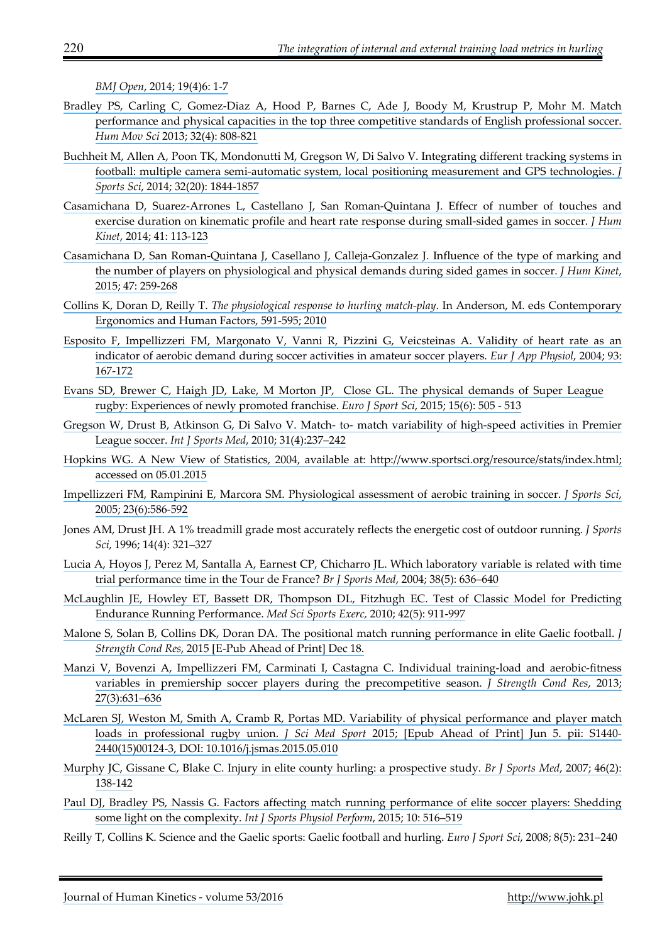*BMJ Open*[, 2014; 19\(4\)6: 1-7](https://www.researchgate.net/publication/308795327_The_Integration_of_Internal_and_External_Training_Load_Metrics_in_Hurling?el=1_x_8&enrichId=rgreq-14f010594d2ff5944c2f0356f12488c9-XXX&enrichSource=Y292ZXJQYWdlOzMwODc5NTMyNztBUzo0MTMxNDMyNjUyMzQ5NDVAMTQ3NTUxMjQzODM4MA==) 

- [Bradley PS, Carling C, Gomez-Diaz A, Hood P, Barnes C, Ade J, Boody M, Krustrup P, Mohr M. Match](https://www.researchgate.net/publication/256118686_Match_performance_and_physical_capacity_of_players_in_the_top_three_competitive_standards_of_English_professional_soccer?el=1_x_8&enrichId=rgreq-14f010594d2ff5944c2f0356f12488c9-XXX&enrichSource=Y292ZXJQYWdlOzMwODc5NTMyNztBUzo0MTMxNDMyNjUyMzQ5NDVAMTQ3NTUxMjQzODM4MA==) [performance and physical capacities in the top three competitive standards of English professional soccer.](https://www.researchgate.net/publication/256118686_Match_performance_and_physical_capacity_of_players_in_the_top_three_competitive_standards_of_English_professional_soccer?el=1_x_8&enrichId=rgreq-14f010594d2ff5944c2f0356f12488c9-XXX&enrichSource=Y292ZXJQYWdlOzMwODc5NTMyNztBUzo0MTMxNDMyNjUyMzQ5NDVAMTQ3NTUxMjQzODM4MA==) *Hum Mov Sci* [2013; 32\(4\): 808-821](https://www.researchgate.net/publication/256118686_Match_performance_and_physical_capacity_of_players_in_the_top_three_competitive_standards_of_English_professional_soccer?el=1_x_8&enrichId=rgreq-14f010594d2ff5944c2f0356f12488c9-XXX&enrichSource=Y292ZXJQYWdlOzMwODc5NTMyNztBUzo0MTMxNDMyNjUyMzQ5NDVAMTQ3NTUxMjQzODM4MA==)
- [Buchheit M, Allen A, Poon TK, Mondonutti M, Gregson W, Di Salvo V. Integrating different tracking systems in](https://www.researchgate.net/publication/264500776_Integrating_different_tracking_systems_in_football_multiple_camera_semi-automatic_system_local_position_measurement_and_GPS_technologies?el=1_x_8&enrichId=rgreq-14f010594d2ff5944c2f0356f12488c9-XXX&enrichSource=Y292ZXJQYWdlOzMwODc5NTMyNztBUzo0MTMxNDMyNjUyMzQ5NDVAMTQ3NTUxMjQzODM4MA==) [football: multiple camera semi-automatic system, local positioning measurement and GPS technologies.](https://www.researchgate.net/publication/264500776_Integrating_different_tracking_systems_in_football_multiple_camera_semi-automatic_system_local_position_measurement_and_GPS_technologies?el=1_x_8&enrichId=rgreq-14f010594d2ff5944c2f0356f12488c9-XXX&enrichSource=Y292ZXJQYWdlOzMwODc5NTMyNztBUzo0MTMxNDMyNjUyMzQ5NDVAMTQ3NTUxMjQzODM4MA==) *J Sports Sci*[, 2014; 32\(20\): 1844-1857](https://www.researchgate.net/publication/264500776_Integrating_different_tracking_systems_in_football_multiple_camera_semi-automatic_system_local_position_measurement_and_GPS_technologies?el=1_x_8&enrichId=rgreq-14f010594d2ff5944c2f0356f12488c9-XXX&enrichSource=Y292ZXJQYWdlOzMwODc5NTMyNztBUzo0MTMxNDMyNjUyMzQ5NDVAMTQ3NTUxMjQzODM4MA==)
- [Casamichana D, Suarez-Arrones L, Castellano J, San Roman-Quintana J. Effecr of number of touches and](https://www.researchgate.net/publication/264711779_Effect_of_Number_of_Touches_and_Exercise_Duration_on_the_Kinematic_Profile_and_Heart_Rate_Response_During_Small-Sided_Games_in_Soccer?el=1_x_8&enrichId=rgreq-14f010594d2ff5944c2f0356f12488c9-XXX&enrichSource=Y292ZXJQYWdlOzMwODc5NTMyNztBUzo0MTMxNDMyNjUyMzQ5NDVAMTQ3NTUxMjQzODM4MA==) [exercise duration on kinematic profile and heart rate response during small-sided games in soccer.](https://www.researchgate.net/publication/264711779_Effect_of_Number_of_Touches_and_Exercise_Duration_on_the_Kinematic_Profile_and_Heart_Rate_Response_During_Small-Sided_Games_in_Soccer?el=1_x_8&enrichId=rgreq-14f010594d2ff5944c2f0356f12488c9-XXX&enrichSource=Y292ZXJQYWdlOzMwODc5NTMyNztBUzo0MTMxNDMyNjUyMzQ5NDVAMTQ3NTUxMjQzODM4MA==) *J Hum Kinet*[, 2014; 41: 113-123](https://www.researchgate.net/publication/264711779_Effect_of_Number_of_Touches_and_Exercise_Duration_on_the_Kinematic_Profile_and_Heart_Rate_Response_During_Small-Sided_Games_in_Soccer?el=1_x_8&enrichId=rgreq-14f010594d2ff5944c2f0356f12488c9-XXX&enrichSource=Y292ZXJQYWdlOzMwODc5NTMyNztBUzo0MTMxNDMyNjUyMzQ5NDVAMTQ3NTUxMjQzODM4MA==)
- [Casamichana D, San Roman-Quintana J, Casellano J, Calleja-Gonzalez J. Influence of the type of marking and](https://www.researchgate.net/publication/282851746_Influence_of_the_Type_of_Marking_and_the_Number_of_Players_on_Physiological_and_Physical_Demands_During_Sided_Games_in_Soccer?el=1_x_8&enrichId=rgreq-14f010594d2ff5944c2f0356f12488c9-XXX&enrichSource=Y292ZXJQYWdlOzMwODc5NTMyNztBUzo0MTMxNDMyNjUyMzQ5NDVAMTQ3NTUxMjQzODM4MA==) [the number of players on physiological and physical demands during sided games in soccer.](https://www.researchgate.net/publication/282851746_Influence_of_the_Type_of_Marking_and_the_Number_of_Players_on_Physiological_and_Physical_Demands_During_Sided_Games_in_Soccer?el=1_x_8&enrichId=rgreq-14f010594d2ff5944c2f0356f12488c9-XXX&enrichSource=Y292ZXJQYWdlOzMwODc5NTMyNztBUzo0MTMxNDMyNjUyMzQ5NDVAMTQ3NTUxMjQzODM4MA==) *J Hum Kinet*, [2015; 47: 259-268](https://www.researchgate.net/publication/282851746_Influence_of_the_Type_of_Marking_and_the_Number_of_Players_on_Physiological_and_Physical_Demands_During_Sided_Games_in_Soccer?el=1_x_8&enrichId=rgreq-14f010594d2ff5944c2f0356f12488c9-XXX&enrichSource=Y292ZXJQYWdlOzMwODc5NTMyNztBUzo0MTMxNDMyNjUyMzQ5NDVAMTQ3NTUxMjQzODM4MA==)
- Collins K, Doran D, Reilly T. *[The physiological response to hurling match-play](https://www.researchgate.net/publication/290230147_The_physiological_demands_of_hurling_match-play?el=1_x_8&enrichId=rgreq-14f010594d2ff5944c2f0356f12488c9-XXX&enrichSource=Y292ZXJQYWdlOzMwODc5NTMyNztBUzo0MTMxNDMyNjUyMzQ5NDVAMTQ3NTUxMjQzODM4MA==)*. In Anderson, M. eds Contemporary [Ergonomics and Human Factors, 591-595; 2010](https://www.researchgate.net/publication/290230147_The_physiological_demands_of_hurling_match-play?el=1_x_8&enrichId=rgreq-14f010594d2ff5944c2f0356f12488c9-XXX&enrichSource=Y292ZXJQYWdlOzMwODc5NTMyNztBUzo0MTMxNDMyNjUyMzQ5NDVAMTQ3NTUxMjQzODM4MA==)
- [Esposito F, Impellizzeri FM, Margonato V, Vanni R, Pizzini G, Veicsteinas A. Validity of heart rate as an](https://www.researchgate.net/publication/8432209_Validity_of_heart_rate_as_an_indicator_of_aerobic_demand_during_soccer_activities_in_amateur_soccer_players?el=1_x_8&enrichId=rgreq-14f010594d2ff5944c2f0356f12488c9-XXX&enrichSource=Y292ZXJQYWdlOzMwODc5NTMyNztBUzo0MTMxNDMyNjUyMzQ5NDVAMTQ3NTUxMjQzODM4MA==) [indicator of aerobic demand during soccer activities in amateur soccer players.](https://www.researchgate.net/publication/8432209_Validity_of_heart_rate_as_an_indicator_of_aerobic_demand_during_soccer_activities_in_amateur_soccer_players?el=1_x_8&enrichId=rgreq-14f010594d2ff5944c2f0356f12488c9-XXX&enrichSource=Y292ZXJQYWdlOzMwODc5NTMyNztBUzo0MTMxNDMyNjUyMzQ5NDVAMTQ3NTUxMjQzODM4MA==) *Eur J App Physiol*, 2004; 93: [167-172](https://www.researchgate.net/publication/8432209_Validity_of_heart_rate_as_an_indicator_of_aerobic_demand_during_soccer_activities_in_amateur_soccer_players?el=1_x_8&enrichId=rgreq-14f010594d2ff5944c2f0356f12488c9-XXX&enrichSource=Y292ZXJQYWdlOzMwODc5NTMyNztBUzo0MTMxNDMyNjUyMzQ5NDVAMTQ3NTUxMjQzODM4MA==)
- [Evans SD, Brewer C, Haigh JD, Lake, M Morton JP, Close GL. The physical demands of Super League](https://www.researchgate.net/publication/278046900_The_physical_demands_of_Super_League_rugby_Experiences_of_a_newly_promoted_franchise?el=1_x_8&enrichId=rgreq-14f010594d2ff5944c2f0356f12488c9-XXX&enrichSource=Y292ZXJQYWdlOzMwODc5NTMyNztBUzo0MTMxNDMyNjUyMzQ5NDVAMTQ3NTUxMjQzODM4MA==)  [rugby: Experiences of newly promoted franchise.](https://www.researchgate.net/publication/278046900_The_physical_demands_of_Super_League_rugby_Experiences_of_a_newly_promoted_franchise?el=1_x_8&enrichId=rgreq-14f010594d2ff5944c2f0356f12488c9-XXX&enrichSource=Y292ZXJQYWdlOzMwODc5NTMyNztBUzo0MTMxNDMyNjUyMzQ5NDVAMTQ3NTUxMjQzODM4MA==) *Euro J Sport Sci*, 2015; 15(6): 505 - 513
- [Gregson W, Drust B, Atkinson G, Di Salvo V. Match- to- match variability of high-speed activities in Premier](https://www.researchgate.net/publication/41436251_Match-to-Match_Variability_of_High-Speed_Activities_in_Premier_League_Soccer?el=1_x_8&enrichId=rgreq-14f010594d2ff5944c2f0356f12488c9-XXX&enrichSource=Y292ZXJQYWdlOzMwODc5NTMyNztBUzo0MTMxNDMyNjUyMzQ5NDVAMTQ3NTUxMjQzODM4MA==) League soccer. *Int J Sports Med*[, 2010; 31\(4\):237–242](https://www.researchgate.net/publication/41436251_Match-to-Match_Variability_of_High-Speed_Activities_in_Premier_League_Soccer?el=1_x_8&enrichId=rgreq-14f010594d2ff5944c2f0356f12488c9-XXX&enrichSource=Y292ZXJQYWdlOzMwODc5NTMyNztBUzo0MTMxNDMyNjUyMzQ5NDVAMTQ3NTUxMjQzODM4MA==)
- [Hopkins WG. A New View of Statistics, 2004, available at: http://www.sportsci.org/resource/stats/index.html;](https://www.researchgate.net/publication/243772286_A_New_View_of_Statistics?el=1_x_8&enrichId=rgreq-14f010594d2ff5944c2f0356f12488c9-XXX&enrichSource=Y292ZXJQYWdlOzMwODc5NTMyNztBUzo0MTMxNDMyNjUyMzQ5NDVAMTQ3NTUxMjQzODM4MA==) [accessed on 05.01.2015](https://www.researchgate.net/publication/243772286_A_New_View_of_Statistics?el=1_x_8&enrichId=rgreq-14f010594d2ff5944c2f0356f12488c9-XXX&enrichSource=Y292ZXJQYWdlOzMwODc5NTMyNztBUzo0MTMxNDMyNjUyMzQ5NDVAMTQ3NTUxMjQzODM4MA==)
- [Impellizzeri FM, Rampinini E, Marcora SM. Physiological assessment of aerobic training in soccer.](https://www.researchgate.net/publication/7570075_Physiological_assessment_of_aerobic_training_in_soccer?el=1_x_8&enrichId=rgreq-14f010594d2ff5944c2f0356f12488c9-XXX&enrichSource=Y292ZXJQYWdlOzMwODc5NTMyNztBUzo0MTMxNDMyNjUyMzQ5NDVAMTQ3NTUxMjQzODM4MA==) *J Sports Sci*, [2005; 23\(6\):586-592](https://www.researchgate.net/publication/7570075_Physiological_assessment_of_aerobic_training_in_soccer?el=1_x_8&enrichId=rgreq-14f010594d2ff5944c2f0356f12488c9-XXX&enrichSource=Y292ZXJQYWdlOzMwODc5NTMyNztBUzo0MTMxNDMyNjUyMzQ5NDVAMTQ3NTUxMjQzODM4MA==)
- Jones AM, Drust JH. A 1% treadmill grade most accurately reflects the energetic cost of outdoor running. *J Sports Sci*, 1996; 14(4): 321–327
- [Lucia A, Hoyos J, Perez M, Santalla A, Earnest CP, Chicharro JL. Which laboratory variable is related with time](https://www.researchgate.net/publication/8325803_Which_laboratory_variable_is_related_with_time_trial_performance_time_in_the_Tour_de_France?el=1_x_8&enrichId=rgreq-14f010594d2ff5944c2f0356f12488c9-XXX&enrichSource=Y292ZXJQYWdlOzMwODc5NTMyNztBUzo0MTMxNDMyNjUyMzQ5NDVAMTQ3NTUxMjQzODM4MA==) [trial performance time in the Tour de France?](https://www.researchgate.net/publication/8325803_Which_laboratory_variable_is_related_with_time_trial_performance_time_in_the_Tour_de_France?el=1_x_8&enrichId=rgreq-14f010594d2ff5944c2f0356f12488c9-XXX&enrichSource=Y292ZXJQYWdlOzMwODc5NTMyNztBUzo0MTMxNDMyNjUyMzQ5NDVAMTQ3NTUxMjQzODM4MA==) *Br J Sports Med*, 2004; 38(5): 636–640
- [McLaughlin JE, Howley ET, Bassett DR, Thompson DL, Fitzhugh EC. Test of Classic Model for Predicting](https://www.researchgate.net/publication/40483825_Test_of_the_Classic_Model_for_Predicting_Endurance_Running_Performance?el=1_x_8&enrichId=rgreq-14f010594d2ff5944c2f0356f12488c9-XXX&enrichSource=Y292ZXJQYWdlOzMwODc5NTMyNztBUzo0MTMxNDMyNjUyMzQ5NDVAMTQ3NTUxMjQzODM4MA==) [Endurance Running Performance.](https://www.researchgate.net/publication/40483825_Test_of_the_Classic_Model_for_Predicting_Endurance_Running_Performance?el=1_x_8&enrichId=rgreq-14f010594d2ff5944c2f0356f12488c9-XXX&enrichSource=Y292ZXJQYWdlOzMwODc5NTMyNztBUzo0MTMxNDMyNjUyMzQ5NDVAMTQ3NTUxMjQzODM4MA==) *Med Sci Sports Exerc,* 2010; 42(5): 911-997
- [Malone S, Solan B, Collins DK, Doran DA. The positional match running performance in elite Gaelic football.](https://www.researchgate.net/publication/287966530_The_Positional_Match_Running_Performance_of_Elite_Gaelic_Football?el=1_x_8&enrichId=rgreq-14f010594d2ff5944c2f0356f12488c9-XXX&enrichSource=Y292ZXJQYWdlOzMwODc5NTMyNztBUzo0MTMxNDMyNjUyMzQ5NDVAMTQ3NTUxMjQzODM4MA==) *J Strength Cond Res*[, 2015 \[E-Pub Ahead of Print\] Dec 18.](https://www.researchgate.net/publication/287966530_The_Positional_Match_Running_Performance_of_Elite_Gaelic_Football?el=1_x_8&enrichId=rgreq-14f010594d2ff5944c2f0356f12488c9-XXX&enrichSource=Y292ZXJQYWdlOzMwODc5NTMyNztBUzo0MTMxNDMyNjUyMzQ5NDVAMTQ3NTUxMjQzODM4MA==)
- [Manzi V, Bovenzi A, Impellizzeri FM, Carminati I, Castagna C. Individual training-load and aerobic-fitness](https://www.researchgate.net/publication/225078694_Individual_Training-Load_and_Aerobic-Fitness_Variables_in_Premiership_Soccer_Players_During_the_Precompetitive_Season?el=1_x_8&enrichId=rgreq-14f010594d2ff5944c2f0356f12488c9-XXX&enrichSource=Y292ZXJQYWdlOzMwODc5NTMyNztBUzo0MTMxNDMyNjUyMzQ5NDVAMTQ3NTUxMjQzODM4MA==) [variables in premiership soccer players during the precompetitive season.](https://www.researchgate.net/publication/225078694_Individual_Training-Load_and_Aerobic-Fitness_Variables_in_Premiership_Soccer_Players_During_the_Precompetitive_Season?el=1_x_8&enrichId=rgreq-14f010594d2ff5944c2f0356f12488c9-XXX&enrichSource=Y292ZXJQYWdlOzMwODc5NTMyNztBUzo0MTMxNDMyNjUyMzQ5NDVAMTQ3NTUxMjQzODM4MA==) *J Strength Cond Res*, 2013; [27\(3\):631–636](https://www.researchgate.net/publication/225078694_Individual_Training-Load_and_Aerobic-Fitness_Variables_in_Premiership_Soccer_Players_During_the_Precompetitive_Season?el=1_x_8&enrichId=rgreq-14f010594d2ff5944c2f0356f12488c9-XXX&enrichSource=Y292ZXJQYWdlOzMwODc5NTMyNztBUzo0MTMxNDMyNjUyMzQ5NDVAMTQ3NTUxMjQzODM4MA==)
- [McLaren SJ, Weston M, Smith A, Cramb R, Portas MD. Variability of physical performance and player match](https://www.researchgate.net/publication/277784610_Variability_of_physical_performance_and_player_match_loads_in_professional_rugby_union?el=1_x_8&enrichId=rgreq-14f010594d2ff5944c2f0356f12488c9-XXX&enrichSource=Y292ZXJQYWdlOzMwODc5NTMyNztBUzo0MTMxNDMyNjUyMzQ5NDVAMTQ3NTUxMjQzODM4MA==) loads in professional rugby union. *J Sci Med Sport* [2015; \[Epub Ahead of Print\] Jun 5. pii: S1440-](https://www.researchgate.net/publication/277784610_Variability_of_physical_performance_and_player_match_loads_in_professional_rugby_union?el=1_x_8&enrichId=rgreq-14f010594d2ff5944c2f0356f12488c9-XXX&enrichSource=Y292ZXJQYWdlOzMwODc5NTMyNztBUzo0MTMxNDMyNjUyMzQ5NDVAMTQ3NTUxMjQzODM4MA==) [2440\(15\)00124-3, DOI: 10.1016/j.jsmas.2015.05.010](https://www.researchgate.net/publication/277784610_Variability_of_physical_performance_and_player_match_loads_in_professional_rugby_union?el=1_x_8&enrichId=rgreq-14f010594d2ff5944c2f0356f12488c9-XXX&enrichSource=Y292ZXJQYWdlOzMwODc5NTMyNztBUzo0MTMxNDMyNjUyMzQ5NDVAMTQ3NTUxMjQzODM4MA==)
- [Murphy JC, Gissane C, Blake C. Injury in elite county hurling: a prospective study.](https://www.researchgate.net/publication/47509652_Injury_in_elite_county-level_hurling_A_prospective_study?el=1_x_8&enrichId=rgreq-14f010594d2ff5944c2f0356f12488c9-XXX&enrichSource=Y292ZXJQYWdlOzMwODc5NTMyNztBUzo0MTMxNDMyNjUyMzQ5NDVAMTQ3NTUxMjQzODM4MA==) *Br J Sports Med*, 2007; 46(2): [138-142](https://www.researchgate.net/publication/47509652_Injury_in_elite_county-level_hurling_A_prospective_study?el=1_x_8&enrichId=rgreq-14f010594d2ff5944c2f0356f12488c9-XXX&enrichSource=Y292ZXJQYWdlOzMwODc5NTMyNztBUzo0MTMxNDMyNjUyMzQ5NDVAMTQ3NTUxMjQzODM4MA==)
- [Paul DJ, Bradley PS, Nassis G. Factors affecting match running performance of elite soccer players: Shedding](https://www.researchgate.net/publication/273071207_Factors_Affecting_Match_Running_Performance_of_Elite_Soccer_Players_Shedding_Some_Light_on_the_Complexity?el=1_x_8&enrichId=rgreq-14f010594d2ff5944c2f0356f12488c9-XXX&enrichSource=Y292ZXJQYWdlOzMwODc5NTMyNztBUzo0MTMxNDMyNjUyMzQ5NDVAMTQ3NTUxMjQzODM4MA==) [some light on the complexity.](https://www.researchgate.net/publication/273071207_Factors_Affecting_Match_Running_Performance_of_Elite_Soccer_Players_Shedding_Some_Light_on_the_Complexity?el=1_x_8&enrichId=rgreq-14f010594d2ff5944c2f0356f12488c9-XXX&enrichSource=Y292ZXJQYWdlOzMwODc5NTMyNztBUzo0MTMxNDMyNjUyMzQ5NDVAMTQ3NTUxMjQzODM4MA==) *Int J Sports Physiol Perform*, 2015; 10: 516–519
- Reilly T, Collins K. Science and the Gaelic sports: Gaelic football and hurling. *Euro J Sport Sci*, 2008; 8(5): 231–240